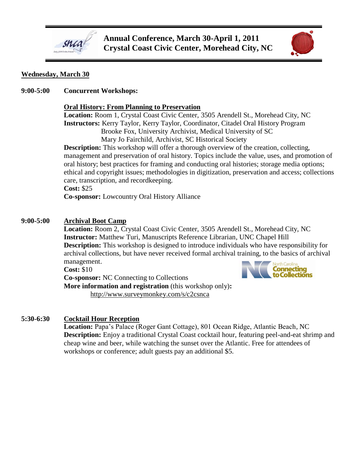



#### **Wednesday, March 30**

**9:00-5:00 Concurrent Workshops:**

#### **Oral History: From Planning to Preservation**

**Location:** Room 1, Crystal Coast Civic Center, 3505 Arendell St., Morehead City, NC **Instructors:** Kerry Taylor, Kerry Taylor, Coordinator, Citadel Oral History Program Brooke Fox, University Archivist, Medical University of SC Mary Jo Fairchild, Archivist, SC Historical Society

**Description:** This workshop will offer a thorough overview of the creation, collecting, management and preservation of oral history. Topics include the value, uses, and promotion of oral history; best practices for framing and conducting oral histories; storage media options; ethical and copyright issues; methodologies in digitization, preservation and access; collections care, transcription, and recordkeeping.

**Cost:** \$25

**Co-sponsor:** Lowcountry Oral History Alliance

## **9:00-5:00 Archival Boot Camp**

**Location:** Room 2, Crystal Coast Civic Center, 3505 Arendell St., Morehead City, NC **Instructor:** Matthew Turi, Manuscripts Reference Librarian, UNC Chapel Hill **Description:** This workshop is designed to introduce individuals who have responsibility for archival collections, but have never received formal archival training, to the basics of archival management.

**Cost:** \$10

**Co-sponsor:** NC Connecting to Collections **More information and registration** (this workshop only)**:** <http://www.surveymonkey.com/s/c2csnca>



#### **5:30-6:30 Cocktail Hour Reception**

**Location:** Papa's Palace (Roger Gant Cottage), 801 Ocean Ridge, Atlantic Beach, NC **Description:** Enjoy a traditional Crystal Coast cocktail hour, featuring peel-and-eat shrimp and cheap wine and beer, while watching the sunset over the Atlantic. Free for attendees of workshops or conference; adult guests pay an additional \$5.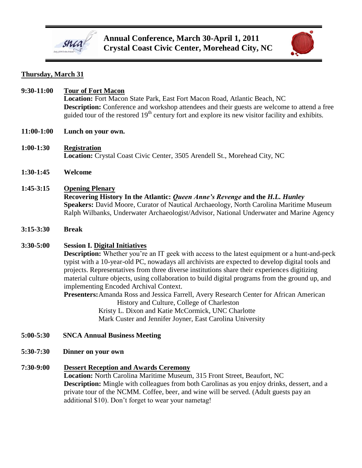

**Annual Conference, March 30-April 1, 2011 Crystal Coast Civic Center, Morehead City, NC**



# **Thursday, March 31**

| 9:30-11:00    | <b>Tour of Fort Macon</b><br>Location: Fort Macon State Park, East Fort Macon Road, Atlantic Beach, NC<br>Description: Conference and workshop attendees and their guests are welcome to attend a free<br>guided tour of the restored $19th$ century fort and explore its new visitor facility and exhibits.                                                                                                                                                                                                                                                                                                                                                                                                                                              |
|---------------|-----------------------------------------------------------------------------------------------------------------------------------------------------------------------------------------------------------------------------------------------------------------------------------------------------------------------------------------------------------------------------------------------------------------------------------------------------------------------------------------------------------------------------------------------------------------------------------------------------------------------------------------------------------------------------------------------------------------------------------------------------------|
| 11:00-1:00    | Lunch on your own.                                                                                                                                                                                                                                                                                                                                                                                                                                                                                                                                                                                                                                                                                                                                        |
| $1:00-1:30$   | <b>Registration</b><br>Location: Crystal Coast Civic Center, 3505 Arendell St., Morehead City, NC                                                                                                                                                                                                                                                                                                                                                                                                                                                                                                                                                                                                                                                         |
| $1:30-1:45$   | Welcome                                                                                                                                                                                                                                                                                                                                                                                                                                                                                                                                                                                                                                                                                                                                                   |
| $1:45-3:15$   | <b>Opening Plenary</b><br>Recovering History In the Atlantic: Queen Anne's Revenge and the H.L. Hunley<br>Speakers: David Moore, Curator of Nautical Archaeology, North Carolina Maritime Museum<br>Ralph Wilbanks, Underwater Archaeologist/Advisor, National Underwater and Marine Agency                                                                                                                                                                                                                                                                                                                                                                                                                                                               |
| $3:15 - 3:30$ | <b>Break</b>                                                                                                                                                                                                                                                                                                                                                                                                                                                                                                                                                                                                                                                                                                                                              |
| 3:30-5:00     | <b>Session I. Digital Initiatives</b><br><b>Description:</b> Whether you're an IT geek with access to the latest equipment or a hunt-and-peck<br>typist with a 10-year-old PC, nowadays all archivists are expected to develop digital tools and<br>projects. Representatives from three diverse institutions share their experiences digitizing<br>material culture objects, using collaboration to build digital programs from the ground up, and<br>implementing Encoded Archival Context.<br>Presenters: Amanda Ross and Jessica Farrell, Avery Research Center for African American<br>History and Culture, College of Charleston<br>Kristy L. Dixon and Katie McCormick, UNC Charlotte<br>Mark Custer and Jennifer Joyner, East Carolina University |
| 5:00-5:30     | <b>SNCA Annual Business Meeting</b>                                                                                                                                                                                                                                                                                                                                                                                                                                                                                                                                                                                                                                                                                                                       |
| 5:30-7:30     | Dinner on your own                                                                                                                                                                                                                                                                                                                                                                                                                                                                                                                                                                                                                                                                                                                                        |
| 7:30-9:00     | <b>Dessert Reception and Awards Ceremony</b><br>Location: North Carolina Maritime Museum, 315 Front Street, Beaufort, NC<br><b>Description:</b> Mingle with colleagues from both Carolinas as you enjoy drinks, dessert, and a<br>private tour of the NCMM. Coffee, beer, and wine will be served. (Adult guests pay an                                                                                                                                                                                                                                                                                                                                                                                                                                   |

additional \$10). Don't forget to wear your nametag!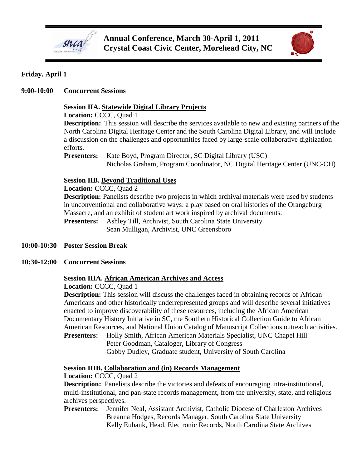



# **Friday, April 1**

## **9:00-10:00 Concurrent Sessions**

# **Session IIA. Statewide Digital Library Projects**

**Location:** CCCC, Quad 1

**Description:** This session will describe the services available to new and existing partners of the North Carolina Digital Heritage Center and the South Carolina Digital Library, and will include a discussion on the challenges and opportunities faced by large-scale collaborative digitization efforts.

**Presenters:** Kate Boyd, Program Director, SC Digital Library (USC) Nicholas Graham, Program Coordinator, NC Digital Heritage Center (UNC-CH)

#### **Session IIB. Beyond Traditional Uses**

**Location:** CCCC, Quad 2

**Description:** Panelists describe two projects in which archival materials were used by students in unconventional and collaborative ways: a play based on oral histories of the Orangeburg Massacre, and an exhibit of student art work inspired by archival documents. **Presenters:** Ashley Till, Archivist, South Carolina State University Sean Mulligan, Archivist, UNC Greensboro

#### **10:00-10:30 Poster Session Break**

**10:30-12:00 Concurrent Sessions**

#### **Session IIIA. African American Archives and Access**

**Location:** CCCC, Quad 1

**Description:** This session will discuss the challenges faced in obtaining records of African Americans and other historically underrepresented groups and will describe several initiatives enacted to improve discoverability of these resources, including the African American Documentary History Initiative in SC, the Southern Historical Collection Guide to African American Resources, and National Union Catalog of Manuscript Collections outreach activities.

**Presenters:** Holly Smith, African American Materials Specialist, UNC Chapel Hill Peter Goodman, Cataloger, Library of Congress Gabby Dudley, Graduate student, University of South Carolina

#### **Session IIIB. Collaboration and (in) Records Management**

**Location:** CCCC, Quad 2

**Description:** Panelists describe the victories and defeats of encouraging intra-institutional, multi-institutional, and pan-state records management, from the university, state, and religious archives perspectives.

**Presenters:** Jennifer Neal, Assistant Archivist, Catholic Diocese of Charleston Archives Breanna Hodges, Records Manager, South Carolina State University Kelly Eubank, Head, Electronic Records, North Carolina State Archives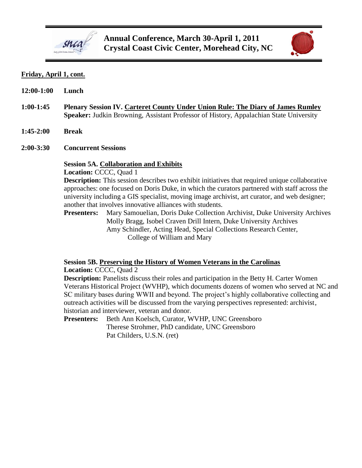



## **Friday, April 1, cont.**

| 12:00-1:00  | Lunch                                                                                                                                                                                                                                                                                                                                                                                                                                                                                                                                                                                                                                                                                                                                                                                               |
|-------------|-----------------------------------------------------------------------------------------------------------------------------------------------------------------------------------------------------------------------------------------------------------------------------------------------------------------------------------------------------------------------------------------------------------------------------------------------------------------------------------------------------------------------------------------------------------------------------------------------------------------------------------------------------------------------------------------------------------------------------------------------------------------------------------------------------|
| $1:00-1:45$ | Plenary Session IV. Carteret County Under Union Rule: The Diary of James Rumley<br>Speaker: Judkin Browning, Assistant Professor of History, Appalachian State University                                                                                                                                                                                                                                                                                                                                                                                                                                                                                                                                                                                                                           |
| $1:45-2:00$ | <b>Break</b>                                                                                                                                                                                                                                                                                                                                                                                                                                                                                                                                                                                                                                                                                                                                                                                        |
| $2:00-3:30$ | <b>Concurrent Sessions</b>                                                                                                                                                                                                                                                                                                                                                                                                                                                                                                                                                                                                                                                                                                                                                                          |
|             | <b>Session 5A. Collaboration and Exhibits</b><br>Location: CCCC, Quad 1<br><b>Description:</b> This session describes two exhibit initiatives that required unique collaborative<br>approaches: one focused on Doris Duke, in which the curators partnered with staff across the<br>university including a GIS specialist, moving image archivist, art curator, and web designer;<br>another that involves innovative alliances with students.<br>Mary Samouelian, Doris Duke Collection Archivist, Duke University Archives<br><b>Presenters:</b><br>Molly Bragg, Isobel Craven Drill Intern, Duke University Archives<br>Amy Schindler, Acting Head, Special Collections Research Center,<br>College of William and Mary<br>Session 5B. Preserving the History of Women Veterans in the Carolinas |

**Location:** CCCC, Quad 2

**Description:** Panelists discuss their roles and participation in the Betty H. Carter Women Veterans Historical Project (WVHP), which documents dozens of women who served at NC and SC military bases during WWII and beyond. The project's highly collaborative collecting and outreach activities will be discussed from the varying perspectives represented: archivist, historian and interviewer, veteran and donor.

**Presenters:** Beth Ann Koelsch, Curator, WVHP, UNC Greensboro Therese Strohmer, PhD candidate, UNC Greensboro Pat Childers, U.S.N. (ret)